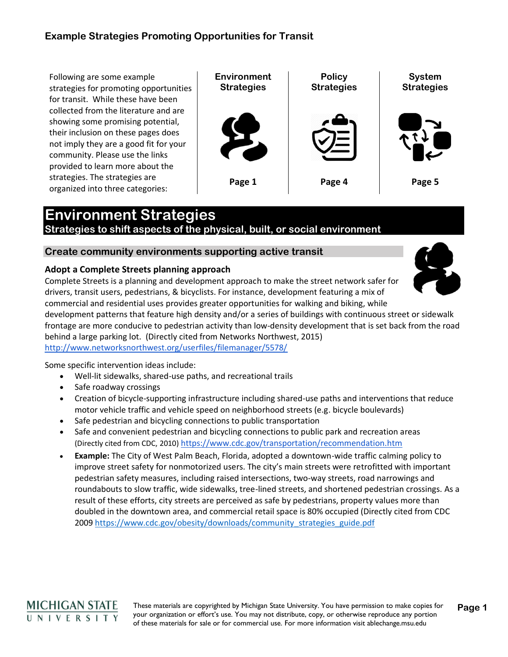Following are some example strategies for promoting opportunities for transit. While these have been collected from the literature and are showing some promising potential, their inclusion on these pages does not imply they are a good fit for your community. Please use the links provided to learn more about the strategies. The strategies are organized into three categories:

**Environment Strategies Policy Strategies System Strategies Page 1 Page 4 Page 5**

# **Environment Strategies**

**Strategies to shift aspects of the physical, built, or social environment** 

## **Create community environments supporting active transit**

#### **Adopt a Complete Streets planning approach**

Complete Streets is a planning and development approach to make the street network safer for drivers, transit users, pedestrians, & bicyclists. For instance, development featuring a mix of commercial and residential uses provides greater opportunities for walking and biking, while development patterns that feature high density and/or a series of buildings with continuous street or sidewalk

frontage are more conducive to pedestrian activity than low-density development that is set back from the road behind a large parking lot. (Directly cited from Networks Northwest, 2015)

<http://www.networksnorthwest.org/userfiles/filemanager/5578/>

Some specific intervention ideas include:

- Well-lit sidewalks, shared-use paths, and recreational trails
- Safe roadway crossings
- Creation of bicycle-supporting infrastructure including shared-use paths and interventions that reduce motor vehicle traffic and vehicle speed on neighborhood streets (e.g. bicycle boulevards)
- Safe pedestrian and bicycling connections to public transportation
- Safe and convenient pedestrian and bicycling connections to public park and recreation areas (Directly cited from CDC, 2010) <https://www.cdc.gov/transportation/recommendation.htm>
- **Example:** The City of West Palm Beach, Florida, adopted a downtown-wide traffic calming policy to improve street safety for nonmotorized users. The city's main streets were retrofitted with important pedestrian safety measures, including raised intersections, two-way streets, road narrowings and roundabouts to slow traffic, wide sidewalks, tree-lined streets, and shortened pedestrian crossings. As a result of these efforts, city streets are perceived as safe by pedestrians, property values more than doubled in the downtown area, and commercial retail space is 80% occupied (Directly cited from CDC 2009 [https://www.cdc.gov/obesity/downloads/community\\_strategies\\_guide.pdf](https://www.cdc.gov/obesity/downloads/community_strategies_guide.pdf/)



These materials are copyrighted by Michigan State University. You have permission to make copies for your organization or effort's use. You may not distribute, copy, or otherwise reproduce any portion of these materials for sale or for commercial use. For more information visit ablechange.msu.edu **Page 1**

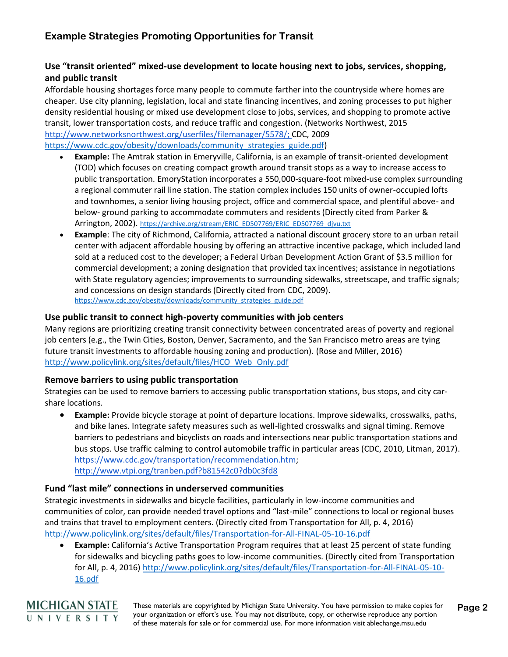## **Use "transit oriented" mixed-use development to locate housing next to jobs, services, shopping, and public transit**

Affordable housing shortages force many people to commute farther into the countryside where homes are cheaper. Use city planning, legislation, local and state financing incentives, and zoning processes to put higher density residential housing or mixed use development close to jobs, services, and shopping to promote active transit, lower transportation costs, and reduce traffic and congestion. (Networks Northwest, 2015 [http://www.networksnorthwest.org/userfiles/filemanager/5578/;](http://www.networksnorthwest.org/userfiles/filemanager/5578/) CDC, 2009 [https://www.cdc.gov/obesity/downloads/community\\_strategies\\_guide.pdf\)](https://www.cdc.gov/obesity/downloads/community_strategies_guide.pdf)

- **Example:** The Amtrak station in Emeryville, California, is an example of transit-oriented development (TOD) which focuses on creating compact growth around transit stops as a way to increase access to public transportation. EmoryStation incorporates a 550,000-square-foot mixed-use complex surrounding a regional commuter rail line station. The station complex includes 150 units of owner-occupied lofts and townhomes, a senior living housing project, office and commercial space, and plentiful above- and below- ground parking to accommodate commuters and residents (Directly cited from Parker & Arrington, 2002). [https://archive.org/stream/ERIC\\_ED507769/ERIC\\_ED507769\\_djvu.txt](https://archive.org/stream/ERIC_ED507769/ERIC_ED507769_djvu.txt)
- **Example**: The city of Richmond, California, attracted a national discount grocery store to an urban retail center with adjacent affordable housing by offering an attractive incentive package, which included land sold at a reduced cost to the developer; a Federal Urban Development Action Grant of \$3.5 million for commercial development; a zoning designation that provided tax incentives; assistance in negotiations with State regulatory agencies; improvements to surrounding sidewalks, streetscape, and traffic signals; and concessions on design standards (Directly cited from CDC, 2009). [https://www.cdc.gov/obesity/downloads/community\\_strategies\\_guide.pdf](https://www.cdc.gov/obesity/downloads/community_strategies_guide.pdf)

#### **Use public transit to connect high-poverty communities with job centers**

Many regions are prioritizing creating transit connectivity between concentrated areas of poverty and regional job centers (e.g., the Twin Cities, Boston, Denver, Sacramento, and the San Francisco metro areas are tying future transit investments to affordable housing zoning and production). (Rose and Miller, 2016) [http://www.policylink.org/sites/default/files/HCO\\_Web\\_Only.pdf](http://www.policylink.org/sites/default/files/HCO_Web_Only.pdf)

#### **Remove barriers to using public transportation**

Strategies can be used to remove barriers to accessing public transportation stations, bus stops, and city carshare locations.

• **Example:** Provide bicycle storage at point of departure locations. Improve sidewalks, crosswalks, paths, and bike lanes. Integrate safety measures such as well-lighted crosswalks and signal timing. Remove barriers to pedestrians and bicyclists on roads and intersections near public transportation stations and bus stops. Use traffic calming to control automobile traffic in particular areas (CDC, 2010, Litman, 2017). [https://www.cdc.gov/transportation/recommendation.htm;](https://www.cdc.gov/transportation/recommendation.htm) <http://www.vtpi.org/tranben.pdf?b81542c0?db0c3fd8>

#### **Fund "last mile" connections in underserved communities**

Strategic investments in sidewalks and bicycle facilities, particularly in low-income communities and communities of color, can provide needed travel options and "last-mile" connections to local or regional buses and trains that travel to employment centers. (Directly cited from Transportation for All, p. 4, 2016) <http://www.policylink.org/sites/default/files/Transportation-for-All-FINAL-05-10-16.pdf>

• **Example:** California's Active Transportation Program requires that at least 25 percent of state funding for sidewalks and bicycling paths goes to low-income communities. (Directly cited from Transportation for All, p. 4, 2016) [http://www.policylink.org/sites/default/files/Transportation-for-All-FINAL-05-10-](http://www.policylink.org/sites/default/files/Transportation-for-All-FINAL-05-10-16.pdf) [16.pdf](http://www.policylink.org/sites/default/files/Transportation-for-All-FINAL-05-10-16.pdf)



These materials are copyrighted by Michigan State University. You have permission to make copies for your organization or effort's use. You may not distribute, copy, or otherwise reproduce any portion of these materials for sale or for commercial use. For more information visit ablechange.msu.edu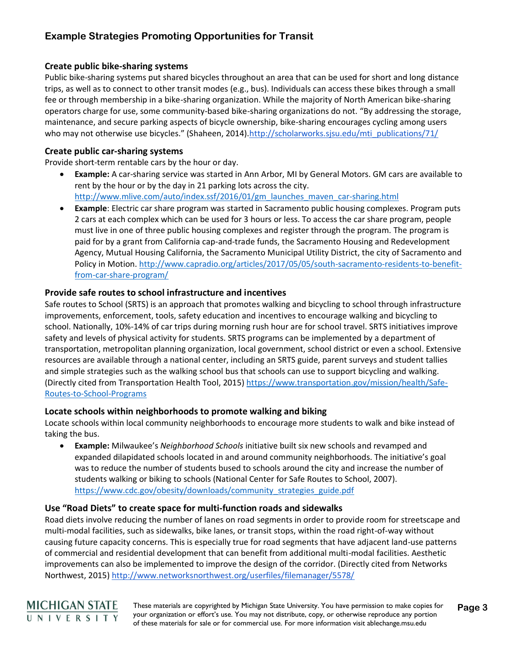#### **Create public bike-sharing systems**

Public bike-sharing systems put shared bicycles throughout an area that can be used for short and long distance trips, as well as to connect to other transit modes (e.g., bus). Individuals can access these bikes through a small fee or through membership in a bike-sharing organization. While the majority of North American bike-sharing operators charge for use, some community-based bike-sharing organizations do not. "By addressing the storage, maintenance, and secure parking aspects of bicycle ownership, bike-sharing encourages cycling among users who may not otherwise use bicycles." (Shaheen, 2014).[http://scholarworks.sjsu.edu/mti\\_publications/71/](http://scholarworks.sjsu.edu/mti_publications/71/)

#### **Create public car-sharing systems**

**MICHIGAN STATE** UNIVERSITY

Provide short-term rentable cars by the hour or day.

- **Example:** A car-sharing service was started in Ann Arbor, MI by General Motors. GM cars are available to rent by the hour or by the day in 21 parking lots across the city. [http://www.mlive.com/auto/index.ssf/2016/01/gm\\_launches\\_maven\\_car-sharing.html](http://www.mlive.com/auto/index.ssf/2016/01/gm_launches_maven_car-sharing.html)
- **Example**: Electric car share program was started in Sacramento public housing complexes. Program puts 2 cars at each complex which can be used for 3 hours or less. To access the car share program, people must live in one of three public housing complexes and register through the program. The program is paid for by a grant from California cap-and-trade funds, the Sacramento Housing and Redevelopment Agency, Mutual Housing California, the Sacramento Municipal Utility District, the city of Sacramento and Policy in Motion[. http://www.capradio.org/articles/2017/05/05/south-sacramento-residents-to-benefit](http://www.capradio.org/articles/2017/05/05/south-sacramento-residents-to-benefit-from-car-share-program/)[from-car-share-program/](http://www.capradio.org/articles/2017/05/05/south-sacramento-residents-to-benefit-from-car-share-program/)

#### **Provide safe routes to school infrastructure and incentives**

Safe routes to School (SRTS) is an approach that promotes walking and bicycling to school through infrastructure improvements, enforcement, tools, safety education and incentives to encourage walking and bicycling to school. Nationally, 10%-14% of car trips during morning rush hour are for school travel. SRTS initiatives improve safety and levels of physical activity for students. SRTS programs can be implemented by a department of transportation, metropolitan planning organization, local government, school district or even a school. Extensive resources are available through a national center, including an SRTS guide, parent surveys and student tallies and simple strategies such as the walking school bus that schools can use to support bicycling and walking. (Directly cited from Transportation Health Tool, 2015) [https://www.transportation.gov/mission/health/Safe-](https://www.transportation.gov/mission/health/Safe-Routes-to-School-Programs)[Routes-to-School-Programs](https://www.transportation.gov/mission/health/Safe-Routes-to-School-Programs)

#### **Locate schools within neighborhoods to promote walking and biking**

Locate schools within local community neighborhoods to encourage more students to walk and bike instead of taking the bus.

• **Example:** Milwaukee's *Neighborhood Schools* initiative built six new schools and revamped and expanded dilapidated schools located in and around community neighborhoods. The initiative's goal was to reduce the number of students bused to schools around the city and increase the number of students walking or biking to schools (National Center for Safe Routes to School, 2007). [https://www.cdc.gov/obesity/downloads/community\\_strategies\\_guide.pdf](https://www.cdc.gov/obesity/downloads/community_strategies_guide.pdf)

#### **Use "Road Diets" to create space for multi-function roads and sidewalks**

Road diets involve reducing the number of lanes on road segments in order to provide room for streetscape and multi-modal facilities, such as sidewalks, bike lanes, or transit stops, within the road right-of-way without causing future capacity concerns. This is especially true for road segments that have adjacent land-use patterns of commercial and residential development that can benefit from additional multi-modal facilities. Aesthetic improvements can also be implemented to improve the design of the corridor. (Directly cited from Networks Northwest, 2015)<http://www.networksnorthwest.org/userfiles/filemanager/5578/>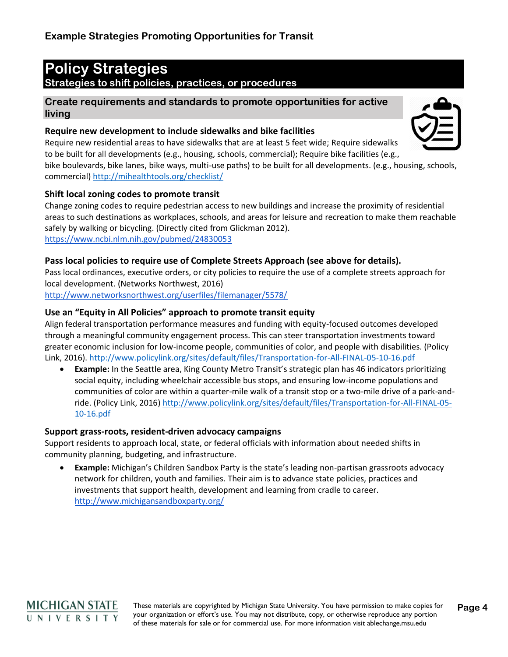# **Policy Strategies**

## **Strategies to shift policies, practices, or procedures**

**Create requirements and standards to promote opportunities for active living**

## **Require new development to include sidewalks and bike facilities**

Require new residential areas to have sidewalks that are at least 5 feet wide; Require sidewalks to be built for all developments (e.g., housing, schools, commercial); Require bike facilities (e.g.,

bike boulevards, bike lanes, bike ways, multi-use paths) to be built for all developments. (e.g., housing, schools, commercial)<http://mihealthtools.org/checklist/>

## **Shift local zoning codes to promote transit**

Change zoning codes to require pedestrian access to new buildings and increase the proximity of residential areas to such destinations as workplaces, schools, and areas for leisure and recreation to make them reachable safely by walking or bicycling. (Directly cited from Glickman 2012). <https://www.ncbi.nlm.nih.gov/pubmed/24830053>

## **Pass local policies to require use of Complete Streets Approach (see above for details).**

Pass local ordinances, executive orders, or city policies to require the use of a complete streets approach for local development. (Networks Northwest, 2016)

<http://www.networksnorthwest.org/userfiles/filemanager/5578/>

## **Use an "Equity in All Policies" approach to promote transit equity**

Align federal transportation performance measures and funding with equity-focused outcomes developed through a meaningful community engagement process. This can steer transportation investments toward greater economic inclusion for low-income people, communities of color, and people with disabilities. (Policy Link, 2016).<http://www.policylink.org/sites/default/files/Transportation-for-All-FINAL-05-10-16.pdf>

• **Example:** In the Seattle area, King County Metro Transit's strategic plan has 46 indicators prioritizing social equity, including wheelchair accessible bus stops, and ensuring low-income populations and communities of color are within a quarter-mile walk of a transit stop or a two-mile drive of a park-andride. (Policy Link, 2016) [http://www.policylink.org/sites/default/files/Transportation-for-All-FINAL-05-](http://www.policylink.org/sites/default/files/Transportation-for-All-FINAL-05-10-16.pdf) [10-16.pdf](http://www.policylink.org/sites/default/files/Transportation-for-All-FINAL-05-10-16.pdf)

## **Support grass-roots, resident-driven advocacy campaigns**

Support residents to approach local, state, or federal officials with information about needed shifts in community planning, budgeting, and infrastructure.

• **Example:** Michigan's Children Sandbox Party is the state's leading non-partisan grassroots advocacy network for children, youth and families. Their aim is to advance state policies, practices and investments that support health, development and learning from cradle to career. <http://www.michigansandboxparty.org/>



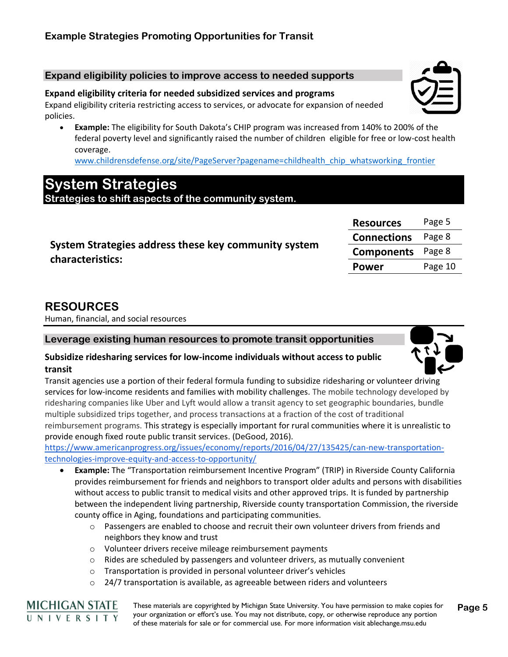#### **Expand eligibility policies to improve access to needed supports**

#### **Expand eligibility criteria for needed subsidized services and programs**

Expand eligibility criteria restricting access to services, or advocate for expansion of needed policies.

• **Example:** The eligibility for South Dakota's CHIP program was increased from 140% to 200% of the federal poverty level and significantly raised the number of children eligible for free or low-cost health coverage.

[www.childrensdefense.org/site/PageServer?pagename=childhealth\\_chip\\_whatsworking\\_frontier](http://www.childrensdefense.org/site/PageServer?pagename=childhealth_chip_whatsworking_frontier)

## **System Strategies**

**Strategies to shift aspects of the community system.**

| System Strategies address these key community system |
|------------------------------------------------------|
| characteristics:                                     |

| <b>Resources</b>   | Page 5  |
|--------------------|---------|
| <b>Connections</b> | Page 8  |
| <b>Components</b>  | Page 8  |
| Power              | Page 10 |

## **RESOURCES**

Human, financial, and social resources

**Leverage existing human resources to promote transit opportunities**

#### **Subsidize ridesharing services for low-income individuals without access to public transit**

Transit agencies use a portion of their federal formula funding to subsidize ridesharing or volunteer driving services for low-income residents and families with mobility challenges. The mobile technology developed by ridesharing companies like Uber and Lyft would allow a transit agency to set geographic boundaries, bundle multiple subsidized trips together, and process transactions at a fraction of the cost of traditional reimbursement programs. This strategy is especially important for rural communities where it is unrealistic to provide enough fixed route public transit services. (DeGood, 2016).

[https://www.americanprogress.org/issues/economy/reports/2016/04/27/135425/can-new-transportation](https://www.americanprogress.org/issues/economy/reports/2016/04/27/135425/can-new-transportation-technologies-improve-equity-and-access-to-opportunity/)[technologies-improve-equity-and-access-to-opportunity/](https://www.americanprogress.org/issues/economy/reports/2016/04/27/135425/can-new-transportation-technologies-improve-equity-and-access-to-opportunity/)

- **Example:** The "Transportation reimbursement Incentive Program" (TRIP) in Riverside County California provides reimbursement for friends and neighbors to transport older adults and persons with disabilities without access to public transit to medical visits and other approved trips. It is funded by partnership between the independent living partnership, Riverside county transportation Commission, the riverside county office in Aging, foundations and participating communities.
	- $\circ$  Passengers are enabled to choose and recruit their own volunteer drivers from friends and neighbors they know and trust
	- o Volunteer drivers receive mileage reimbursement payments
	- $\circ$  Rides are scheduled by passengers and volunteer drivers, as mutually convenient
	- o Transportation is provided in personal volunteer driver's vehicles
	- $\circ$  24/7 transportation is available, as agreeable between riders and volunteers



These materials are copyrighted by Michigan State University. You have permission to make copies for your organization or effort's use. You may not distribute, copy, or otherwise reproduce any portion of these materials for sale or for commercial use. For more information visit ablechange.msu.edu **Page 5**



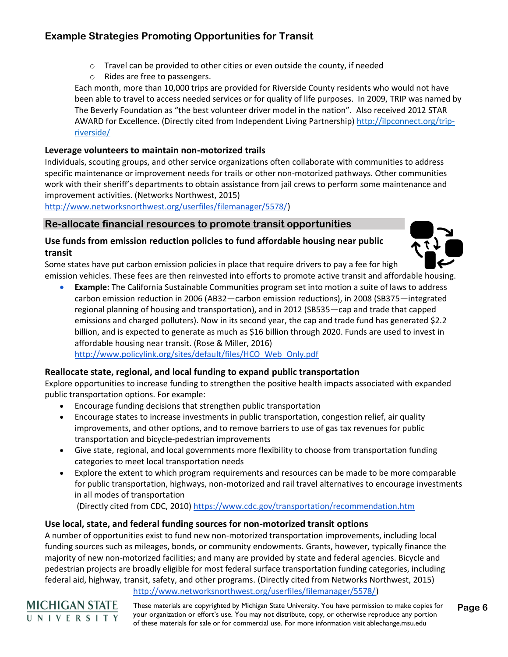- $\circ$  Travel can be provided to other cities or even outside the county, if needed
- o Rides are free to passengers.

Each month, more than 10,000 trips are provided for Riverside County residents who would not have been able to travel to access needed services or for quality of life purposes. In 2009, TRIP was named by The Beverly Foundation as "the best volunteer driver model in the nation". Also received 2012 STAR AWARD for Excellence. (Directly cited from Independent Living Partnership) [http://ilpconnect.org/trip](http://ilpconnect.org/trip-riverside/)[riverside/](http://ilpconnect.org/trip-riverside/)

#### **Leverage volunteers to maintain non-motorized trails**

Individuals, scouting groups, and other service organizations often collaborate with communities to address specific maintenance or improvement needs for trails or other non-motorized pathways. Other communities work with their sheriff's departments to obtain assistance from jail crews to perform some maintenance and improvement activities. (Networks Northwest, 2015)

[http://www.networksnorthwest.org/userfiles/filemanager/5578/\)](http://www.networksnorthwest.org/userfiles/filemanager/5578/)

#### **Re-allocate financial resources to promote transit opportunities**

#### **Use funds from emission reduction policies to fund affordable housing near public transit**

Some states have put carbon emission policies in place that require drivers to pay a fee for high emission vehicles. These fees are then reinvested into efforts to promote active transit and affordable housing.

• **Example:** The California Sustainable Communities program set into motion a suite of laws to address carbon emission reduction in 2006 (AB32—carbon emission reductions), in 2008 (SB375—integrated regional planning of housing and transportation), and in 2012 (SB535—cap and trade that capped emissions and charged polluters). Now in its second year, the cap and trade fund has generated \$2.2 billion, and is expected to generate as much as \$16 billion through 2020. Funds are used to invest in affordable housing near transit. (Rose & Miller, 2016)

[http://www.policylink.org/sites/default/files/HCO\\_Web\\_Only.pdf](http://www.policylink.org/sites/default/files/HCO_Web_Only.pdf)

#### **Reallocate state, regional, and local funding to expand public transportation**

Explore opportunities to increase funding to strengthen the positive health impacts associated with expanded public transportation options. For example:

- Encourage funding decisions that strengthen public transportation
- Encourage states to increase investments in public transportation, congestion relief, air quality improvements, and other options, and to remove barriers to use of gas tax revenues for public transportation and bicycle-pedestrian improvements
- Give state, regional, and local governments more flexibility to choose from transportation funding categories to meet local transportation needs
- Explore the extent to which program requirements and resources can be made to be more comparable for public transportation, highways, non-motorized and rail travel alternatives to encourage investments in all modes of transportation

(Directly cited from CDC, 2010)<https://www.cdc.gov/transportation/recommendation.htm>

#### **Use local, state, and federal funding sources for non-motorized transit options**

A number of opportunities exist to fund new non-motorized transportation improvements, including local funding sources such as mileages, bonds, or community endowments. Grants, however, typically finance the majority of new non-motorized facilities; and many are provided by state and federal agencies. Bicycle and pedestrian projects are broadly eligible for most federal surface transportation funding categories, including federal aid, highway, transit, safety, and other programs. (Directly cited from Networks Northwest, 2015)

[http://www.networksnorthwest.org/userfiles/filemanager/5578/\)](http://www.networksnorthwest.org/userfiles/filemanager/5578/)



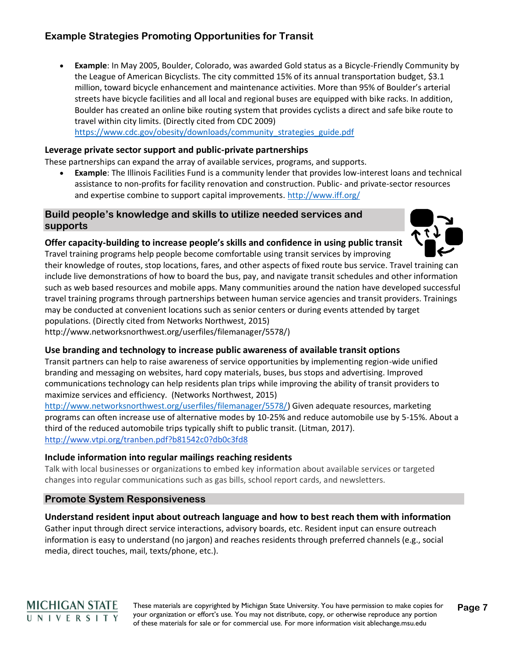• **Example**: In May 2005, Boulder, Colorado, was awarded Gold status as a Bicycle-Friendly Community by the League of American Bicyclists. The city committed 15% of its annual transportation budget, \$3.1 million, toward bicycle enhancement and maintenance activities. More than 95% of Boulder's arterial streets have bicycle facilities and all local and regional buses are equipped with bike racks. In addition, Boulder has created an online bike routing system that provides cyclists a direct and safe bike route to travel within city limits. (Directly cited from CDC 2009) [https://www.cdc.gov/obesity/downloads/community\\_strategies\\_guide.pdf](https://www.cdc.gov/obesity/downloads/community_strategies_guide.pdf)

## **Leverage private sector support and public-private partnerships**

These partnerships can expand the array of available services, programs, and supports.

• **Example**: The Illinois Facilities Fund is a community lender that provides low-interest loans and technical assistance to non-profits for facility renovation and construction. Public- and private-sector resources and expertise combine to support capital improvements.<http://www.iff.org/>

#### **Build people's knowledge and skills to utilize needed services and supports**

#### **Offer capacity-building to increase people's skills and confidence in using public transit**



Travel training programs help people become comfortable using transit services by improving their knowledge of routes, stop locations, fares, and other aspects of fixed route bus service. Travel training can include live demonstrations of how to board the bus, pay, and navigate transit schedules and other information such as web based resources and mobile apps. Many communities around the nation have developed successful travel training programs through partnerships between human service agencies and transit providers. Trainings may be conducted at convenient locations such as senior centers or during events attended by target populations. (Directly cited from Networks Northwest, 2015)

http://www.networksnorthwest.org/userfiles/filemanager/5578/)

#### **Use branding and technology to increase public awareness of available transit options**

Transit partners can help to raise awareness of service opportunities by implementing region-wide unified branding and messaging on websites, hard copy materials, buses, bus stops and advertising. Improved communications technology can help residents plan trips while improving the ability of transit providers to maximize services and efficiency. (Networks Northwest, 2015)

[http://www.networksnorthwest.org/userfiles/filemanager/5578/\)](http://www.networksnorthwest.org/userfiles/filemanager/5578/) Given adequate resources, marketing programs can often increase use of alternative modes by 10-25% and reduce automobile use by 5-15%. About a third of the reduced automobile trips typically shift to public transit. (Litman, 2017). <http://www.vtpi.org/tranben.pdf?b81542c0?db0c3fd8>

#### **Include information into regular mailings reaching residents**

Talk with local businesses or organizations to embed key information about available services or targeted changes into regular communications such as gas bills, school report cards, and newsletters.

#### **Promote System Responsiveness**

#### **Understand resident input about outreach language and how to best reach them with information**

Gather input through direct service interactions, advisory boards, etc. Resident input can ensure outreach information is easy to understand (no jargon) and reaches residents through preferred channels (e.g., social media, direct touches, mail, texts/phone, etc.).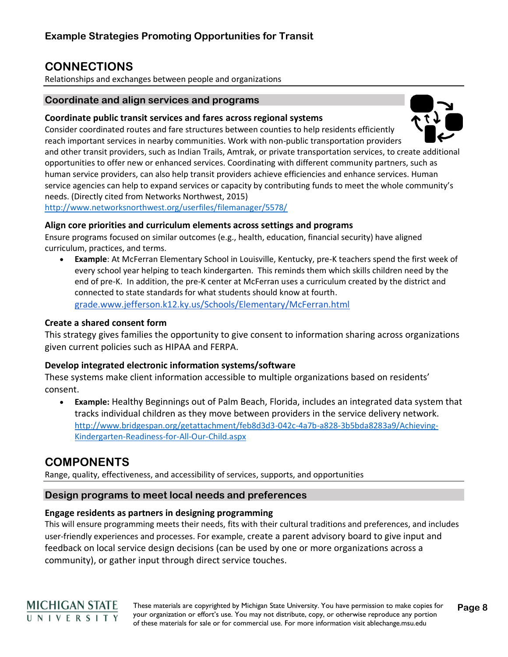## **CONNECTIONS**

Relationships and exchanges between people and organizations

#### **Coordinate and align services and programs**

#### **Coordinate public transit services and fares across regional systems**

Consider coordinated routes and fare structures between counties to help residents efficiently reach important services in nearby communities. Work with non-public transportation providers

and other transit providers, such as Indian Trails, Amtrak, or private transportation services, to create additional opportunities to offer new or enhanced services. Coordinating with different community partners, such as human service providers, can also help transit providers achieve efficiencies and enhance services. Human service agencies can help to expand services or capacity by contributing funds to meet the whole community's needs. (Directly cited from Networks Northwest, 2015)

<http://www.networksnorthwest.org/userfiles/filemanager/5578/>

#### **Align core priorities and curriculum elements across settings and programs**

Ensure programs focused on similar outcomes (e.g., health, education, financial security) have aligned curriculum, practices, and terms.

• **Example**: At McFerran Elementary School in Louisville, Kentucky, pre-K teachers spend the first week of every school year helping to teach kindergarten. This reminds them which skills children need by the end of pre-K. In addition, the pre-K center at McFerran uses a curriculum created by the district and connected to state standards for what students should know at fourth. [grade.www.jefferson.k12.ky.us/Schools/Elementary/McFerran.html](http://grade.www.jefferson.k12.ky.us/Schools/Elementary/McFerran.html)

#### **Create a shared consent form**

This strategy gives families the opportunity to give consent to information sharing across organizations given current policies such as HIPAA and FERPA.

#### **Develop integrated electronic information systems/software**

These systems make client information accessible to multiple organizations based on residents' consent.

• **Example:** Healthy Beginnings out of Palm Beach, Florida, includes an integrated data system that tracks individual children as they move between providers in the service delivery network. [http://www.bridgespan.org/getattachment/feb8d3d3-042c-4a7b-a828-3b5bda8283a9/Achieving-](http://www.bridgespan.org/getattachment/feb8d3d3-042c-4a7b-a828-3b5bda8283a9/Achieving-Kindergarten-Readiness-for-All-Our-Child.aspx)[Kindergarten-Readiness-for-All-Our-Child.aspx](http://www.bridgespan.org/getattachment/feb8d3d3-042c-4a7b-a828-3b5bda8283a9/Achieving-Kindergarten-Readiness-for-All-Our-Child.aspx)

## **COMPONENTS**

Range, quality, effectiveness, and accessibility of services, supports, and opportunities

#### **Design programs to meet local needs and preferences**

## **Engage residents as partners in designing programming**

This will ensure programming meets their needs, fits with their cultural traditions and preferences, and includes user-friendly experiences and processes. For example, create a parent advisory board to give input and feedback on local service design decisions (can be used by one or more organizations across a community), or gather input through direct service touches.

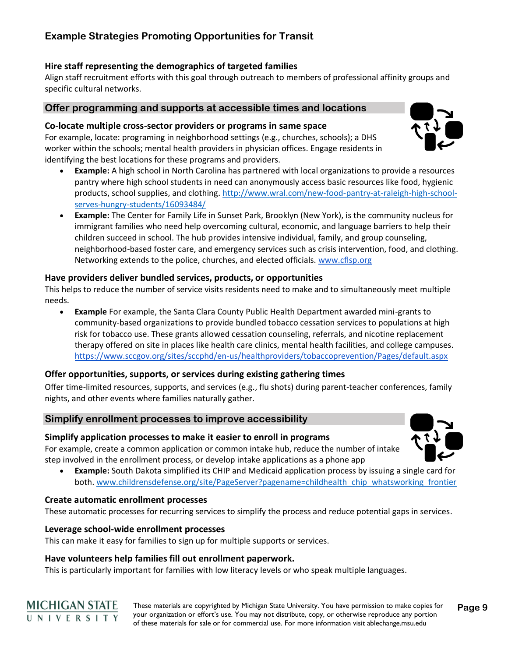#### **Hire staff representing the demographics of targeted families**

Align staff recruitment efforts with this goal through outreach to members of professional affinity groups and specific cultural networks.

#### **Offer programming and supports at accessible times and locations**

#### **Co-locate multiple cross-sector providers or programs in same space**

For example, locate: programing in neighborhood settings (e.g., churches, schools); a DHS worker within the schools; mental health providers in physician offices. Engage residents in identifying the best locations for these programs and providers.

- **Example:** A high school in North Carolina has partnered with local organizations to provide a resources pantry where high school students in need can anonymously access basic resources like food, hygienic products, school supplies, and clothing. [http://www.wral.com/new-food-pantry-at-raleigh-high-school](http://www.wral.com/new-food-pantry-at-raleigh-high-school-serves-hungry-students/16093484/)[serves-hungry-students/16093484/](http://www.wral.com/new-food-pantry-at-raleigh-high-school-serves-hungry-students/16093484/)
- **Example:** The Center for Family Life in Sunset Park, Brooklyn (New York), is the community nucleus for immigrant families who need help overcoming cultural, economic, and language barriers to help their children succeed in school. The hub provides intensive individual, family, and group counseling, neighborhood-based foster care, and emergency services such as crisis intervention, food, and clothing. Networking extends to the police, churches, and elected officials. [www.cflsp.org](http://www.cflsp.org/)

#### **Have providers deliver bundled services, products, or opportunities**

This helps to reduce the number of service visits residents need to make and to simultaneously meet multiple needs.

• **Example** For example, the Santa Clara County Public Health Department awarded mini-grants to community-based organizations to provide bundled tobacco cessation services to populations at high risk for tobacco use. These grants allowed cessation counseling, referrals, and nicotine replacement therapy offered on site in places like health care clinics, mental health facilities, and college campuses. <https://www.sccgov.org/sites/sccphd/en-us/healthproviders/tobaccoprevention/Pages/default.aspx>

#### **Offer opportunities, supports, or services during existing gathering times**

Offer time-limited resources, supports, and services (e.g., flu shots) during parent-teacher conferences, family nights, and other events where families naturally gather.

#### **Simplify enrollment processes to improve accessibility**

#### **Simplify application processes to make it easier to enroll in programs**

For example, create a common application or common intake hub, reduce the number of intake step involved in the enrollment process, or develop intake applications as a phone app

• **Example:** South Dakota simplified its CHIP and Medicaid application process by issuing a single card for both. [www.childrensdefense.org/site/PageServer?pagename=childhealth\\_chip\\_whatsworking\\_frontier](http://www.childrensdefense.org/site/PageServer?pagename=childhealth_chip_whatsworking_frontier)

#### **Create automatic enrollment processes**

**MICHIGAN STATE** UNIVERSITY

These automatic processes for recurring services to simplify the process and reduce potential gaps in services.

#### **Leverage school-wide enrollment processes**

This can make it easy for families to sign up for multiple supports or services.

#### **Have volunteers help families fill out enrollment paperwork.**

This is particularly important for families with low literacy levels or who speak multiple languages.

These materials are copyrighted by Michigan State University. You have permission to make copies for your organization or effort's use. You may not distribute, copy, or otherwise reproduce any portion of these materials for sale or for commercial use. For more information visit ablechange.msu.edu **Page 9**